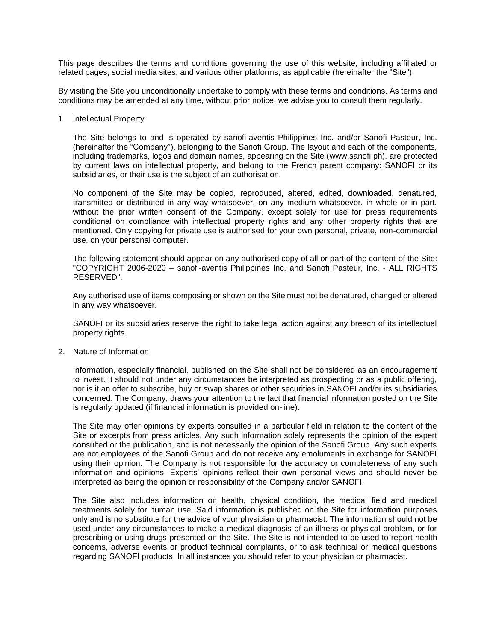This page describes the terms and conditions governing the use of this website, including affiliated or related pages, social media sites, and various other platforms, as applicable (hereinafter the "Site").

By visiting the Site you unconditionally undertake to comply with these terms and conditions. As terms and conditions may be amended at any time, without prior notice, we advise you to consult them regularly.

1. Intellectual Property

The Site belongs to and is operated by sanofi-aventis Philippines Inc. and/or Sanofi Pasteur, Inc. (hereinafter the "Company"), belonging to the Sanofi Group. The layout and each of the components, including trademarks, logos and domain names, appearing on the Site (www.sanofi.ph), are protected by current laws on intellectual property, and belong to the French parent company: SANOFI or its subsidiaries, or their use is the subject of an authorisation.

No component of the Site may be copied, reproduced, altered, edited, downloaded, denatured, transmitted or distributed in any way whatsoever, on any medium whatsoever, in whole or in part, without the prior written consent of the Company, except solely for use for press requirements conditional on compliance with intellectual property rights and any other property rights that are mentioned. Only copying for private use is authorised for your own personal, private, non-commercial use, on your personal computer.

The following statement should appear on any authorised copy of all or part of the content of the Site: "COPYRIGHT 2006-2020 – sanofi-aventis Philippines Inc. and Sanofi Pasteur, Inc. - ALL RIGHTS RESERVED".

Any authorised use of items composing or shown on the Site must not be denatured, changed or altered in any way whatsoever.

SANOFI or its subsidiaries reserve the right to take legal action against any breach of its intellectual property rights.

2. Nature of Information

Information, especially financial, published on the Site shall not be considered as an encouragement to invest. It should not under any circumstances be interpreted as prospecting or as a public offering, nor is it an offer to subscribe, buy or swap shares or other securities in SANOFI and/or its subsidiaries concerned. The Company, draws your attention to the fact that financial information posted on the Site is regularly updated (if financial information is provided on-line).

The Site may offer opinions by experts consulted in a particular field in relation to the content of the Site or excerpts from press articles. Any such information solely represents the opinion of the expert consulted or the publication, and is not necessarily the opinion of the Sanofi Group. Any such experts are not employees of the Sanofi Group and do not receive any emoluments in exchange for SANOFI using their opinion. The Company is not responsible for the accuracy or completeness of any such information and opinions. Experts' opinions reflect their own personal views and should never be interpreted as being the opinion or responsibility of the Company and/or SANOFI.

The Site also includes information on health, physical condition, the medical field and medical treatments solely for human use. Said information is published on the Site for information purposes only and is no substitute for the advice of your physician or pharmacist. The information should not be used under any circumstances to make a medical diagnosis of an illness or physical problem, or for prescribing or using drugs presented on the Site. The Site is not intended to be used to report health concerns, adverse events or product technical complaints, or to ask technical or medical questions regarding SANOFI products. In all instances you should refer to your physician or pharmacist.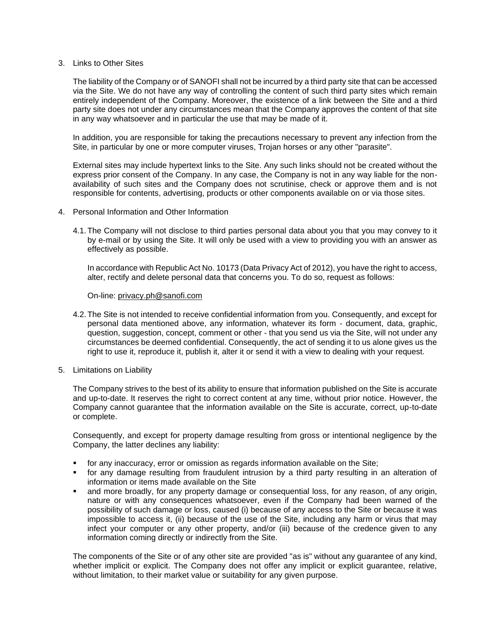#### 3. Links to Other Sites

The liability of the Company or of SANOFI shall not be incurred by a third party site that can be accessed via the Site. We do not have any way of controlling the content of such third party sites which remain entirely independent of the Company. Moreover, the existence of a link between the Site and a third party site does not under any circumstances mean that the Company approves the content of that site in any way whatsoever and in particular the use that may be made of it.

In addition, you are responsible for taking the precautions necessary to prevent any infection from the Site, in particular by one or more computer viruses, Trojan horses or any other "parasite".

External sites may include hypertext links to the Site. Any such links should not be created without the express prior consent of the Company. In any case, the Company is not in any way liable for the nonavailability of such sites and the Company does not scrutinise, check or approve them and is not responsible for contents, advertising, products or other components available on or via those sites.

- 4. Personal Information and Other Information
	- 4.1.The Company will not disclose to third parties personal data about you that you may convey to it by e-mail or by using the Site. It will only be used with a view to providing you with an answer as effectively as possible.

In accordance with Republic Act No. 10173 (Data Privacy Act of 2012), you have the right to access, alter, rectify and delete personal data that concerns you. To do so, request as follows:

On-line: [privacy.ph@sanofi.com](mailto:privacy.ph@sanofi.com)

- 4.2.The Site is not intended to receive confidential information from you. Consequently, and except for personal data mentioned above, any information, whatever its form - document, data, graphic, question, suggestion, concept, comment or other - that you send us via the Site, will not under any circumstances be deemed confidential. Consequently, the act of sending it to us alone gives us the right to use it, reproduce it, publish it, alter it or send it with a view to dealing with your request.
- 5. Limitations on Liability

The Company strives to the best of its ability to ensure that information published on the Site is accurate and up-to-date. It reserves the right to correct content at any time, without prior notice. However, the Company cannot guarantee that the information available on the Site is accurate, correct, up-to-date or complete.

Consequently, and except for property damage resulting from gross or intentional negligence by the Company, the latter declines any liability:

- for any inaccuracy, error or omission as regards information available on the Site;
- for any damage resulting from fraudulent intrusion by a third party resulting in an alteration of information or items made available on the Site
- and more broadly, for any property damage or consequential loss, for any reason, of any origin, nature or with any consequences whatsoever, even if the Company had been warned of the possibility of such damage or loss, caused (i) because of any access to the Site or because it was impossible to access it, (ii) because of the use of the Site, including any harm or virus that may infect your computer or any other property, and/or (iii) because of the credence given to any information coming directly or indirectly from the Site.

The components of the Site or of any other site are provided "as is" without any guarantee of any kind, whether implicit or explicit. The Company does not offer any implicit or explicit guarantee, relative, without limitation, to their market value or suitability for any given purpose.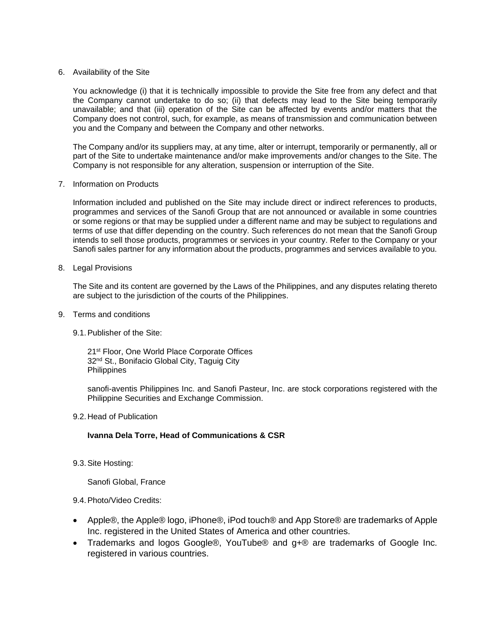#### 6. Availability of the Site

You acknowledge (i) that it is technically impossible to provide the Site free from any defect and that the Company cannot undertake to do so; (ii) that defects may lead to the Site being temporarily unavailable; and that (iii) operation of the Site can be affected by events and/or matters that the Company does not control, such, for example, as means of transmission and communication between you and the Company and between the Company and other networks.

The Company and/or its suppliers may, at any time, alter or interrupt, temporarily or permanently, all or part of the Site to undertake maintenance and/or make improvements and/or changes to the Site. The Company is not responsible for any alteration, suspension or interruption of the Site.

#### 7. Information on Products

Information included and published on the Site may include direct or indirect references to products, programmes and services of the Sanofi Group that are not announced or available in some countries or some regions or that may be supplied under a different name and may be subject to regulations and terms of use that differ depending on the country. Such references do not mean that the Sanofi Group intends to sell those products, programmes or services in your country. Refer to the Company or your Sanofi sales partner for any information about the products, programmes and services available to you.

8. Legal Provisions

The Site and its content are governed by the Laws of the Philippines, and any disputes relating thereto are subject to the jurisdiction of the courts of the Philippines.

- 9. Terms and conditions
	- 9.1.Publisher of the Site:

21<sup>st</sup> Floor, One World Place Corporate Offices 32<sup>nd</sup> St., Bonifacio Global City, Taguig City **Philippines** 

sanofi-aventis Philippines Inc. and Sanofi Pasteur, Inc. are stock corporations registered with the Philippine Securities and Exchange Commission.

#### 9.2.Head of Publication

#### **Ivanna Dela Torre, Head of Communications & CSR**

9.3.Site Hosting:

Sanofi Global, France

#### 9.4.Photo/Video Credits:

- Apple®, the Apple® logo, iPhone®, iPod touch® and App Store® are trademarks of Apple Inc. registered in the United States of America and other countries.
- Trademarks and logos Google®, YouTube® and g+® are trademarks of Google Inc. registered in various countries.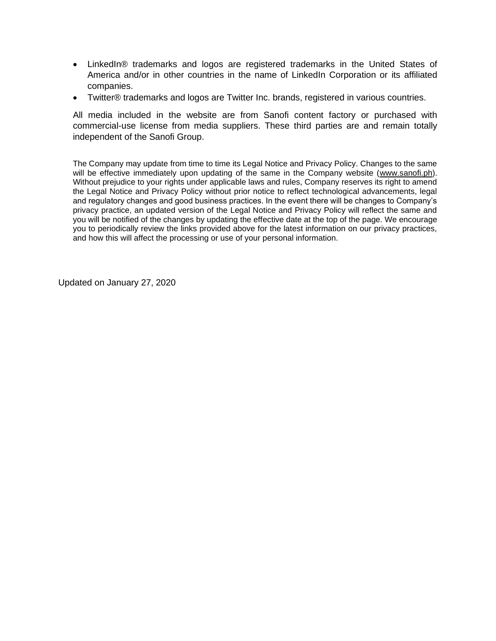- LinkedIn® trademarks and logos are registered trademarks in the United States of America and/or in other countries in the name of LinkedIn Corporation or its affiliated companies.
- Twitter® trademarks and logos are Twitter Inc. brands, registered in various countries.

All media included in the website are from Sanofi content factory or purchased with commercial-use license from media suppliers. These third parties are and remain totally independent of the Sanofi Group.

The Company may update from time to time its Legal Notice and Privacy Policy. Changes to the same will be effective immediately upon updating of the same in the Company website [\(www.sanofi.ph\)](http://www.sanofi.ph/). Without prejudice to your rights under applicable laws and rules, Company reserves its right to amend the Legal Notice and Privacy Policy without prior notice to reflect technological advancements, legal and regulatory changes and good business practices. In the event there will be changes to Company's privacy practice, an updated version of the Legal Notice and Privacy Policy will reflect the same and you will be notified of the changes by updating the effective date at the top of the page. We encourage you to periodically review the links provided above for the latest information on our privacy practices, and how this will affect the processing or use of your personal information.

Updated on January 27, 2020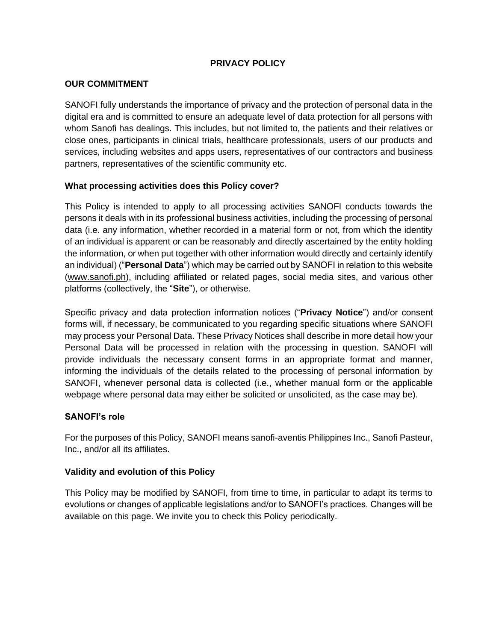## **PRIVACY POLICY**

### **OUR COMMITMENT**

SANOFI fully understands the importance of privacy and the protection of personal data in the digital era and is committed to ensure an adequate level of data protection for all persons with whom Sanofi has dealings. This includes, but not limited to, the patients and their relatives or close ones, participants in clinical trials, healthcare professionals, users of our products and services, including websites and apps users, representatives of our contractors and business partners, representatives of the scientific community etc.

### **What processing activities does this Policy cover?**

This Policy is intended to apply to all processing activities SANOFI conducts towards the persons it deals with in its professional business activities, including the processing of personal data (i.e. any information, whether recorded in a material form or not, from which the identity of an individual is apparent or can be reasonably and directly ascertained by the entity holding the information, or when put together with other information would directly and certainly identify an individual) ("**Personal Data**") which may be carried out by SANOFI in relation to this website (www.sanofi.ph), including affiliated or related pages, social media sites, and various other platforms (collectively, the "**Site**"), or otherwise.

Specific privacy and data protection information notices ("**Privacy Notice**") and/or consent forms will, if necessary, be communicated to you regarding specific situations where SANOFI may process your Personal Data. These Privacy Notices shall describe in more detail how your Personal Data will be processed in relation with the processing in question. SANOFI will provide individuals the necessary consent forms in an appropriate format and manner, informing the individuals of the details related to the processing of personal information by SANOFI, whenever personal data is collected (i.e., whether manual form or the applicable webpage where personal data may either be solicited or unsolicited, as the case may be).

### **SANOFI's role**

For the purposes of this Policy, SANOFI means sanofi-aventis Philippines Inc., Sanofi Pasteur, Inc., and/or all its affiliates.

### **Validity and evolution of this Policy**

This Policy may be modified by SANOFI, from time to time, in particular to adapt its terms to evolutions or changes of applicable legislations and/or to SANOFI's practices. Changes will be available on this page. We invite you to check this Policy periodically.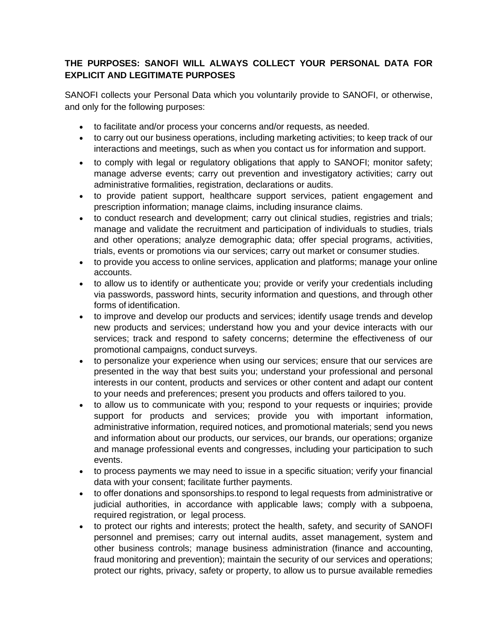## **THE PURPOSES: SANOFI WILL ALWAYS COLLECT YOUR PERSONAL DATA FOR EXPLICIT AND LEGITIMATE PURPOSES**

SANOFI collects your Personal Data which you voluntarily provide to SANOFI, or otherwise, and only for the following purposes:

- to facilitate and/or process your concerns and/or requests, as needed.
- to carry out our business operations, including marketing activities; to keep track of our interactions and meetings, such as when you contact us for information and support.
- to comply with legal or regulatory obligations that apply to SANOFI; monitor safety; manage adverse events; carry out prevention and investigatory activities; carry out administrative formalities, registration, declarations or audits.
- to provide patient support, healthcare support services, patient engagement and prescription information; manage claims, including insurance claims.
- to conduct research and development; carry out clinical studies, registries and trials; manage and validate the recruitment and participation of individuals to studies, trials and other operations; analyze demographic data; offer special programs, activities, trials, events or promotions via our services; carry out market or consumer studies.
- to provide you access to online services, application and platforms; manage your online accounts.
- to allow us to identify or authenticate you; provide or verify your credentials including via passwords, password hints, security information and questions, and through other forms of identification.
- to improve and develop our products and services; identify usage trends and develop new products and services; understand how you and your device interacts with our services; track and respond to safety concerns; determine the effectiveness of our promotional campaigns, conduct surveys.
- to personalize your experience when using our services; ensure that our services are presented in the way that best suits you; understand your professional and personal interests in our content, products and services or other content and adapt our content to your needs and preferences; present you products and offers tailored to you.
- to allow us to communicate with you; respond to your requests or inquiries; provide support for products and services; provide you with important information, administrative information, required notices, and promotional materials; send you news and information about our products, our services, our brands, our operations; organize and manage professional events and congresses, including your participation to such events.
- to process payments we may need to issue in a specific situation; verify your financial data with your consent; facilitate further payments.
- to offer donations and sponsorships.to respond to legal requests from administrative or judicial authorities, in accordance with applicable laws; comply with a subpoena, required registration, or legal process.
- to protect our rights and interests; protect the health, safety, and security of SANOFI personnel and premises; carry out internal audits, asset management, system and other business controls; manage business administration (finance and accounting, fraud monitoring and prevention); maintain the security of our services and operations; protect our rights, privacy, safety or property, to allow us to pursue available remedies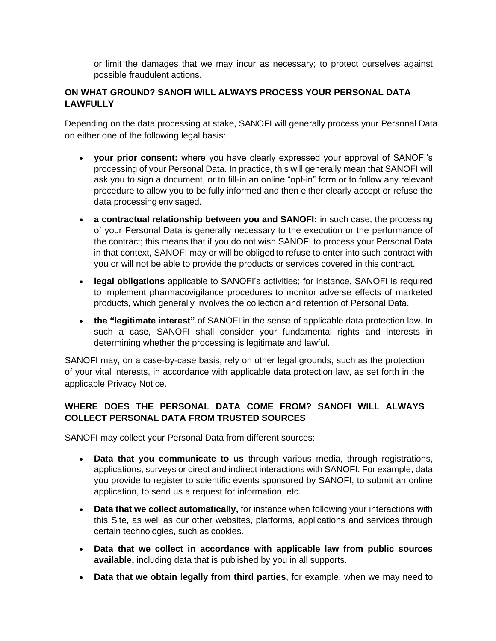or limit the damages that we may incur as necessary; to protect ourselves against possible fraudulent actions.

## **ON WHAT GROUND? SANOFI WILL ALWAYS PROCESS YOUR PERSONAL DATA LAWFULLY**

Depending on the data processing at stake, SANOFI will generally process your Personal Data on either one of the following legal basis:

- **your prior consent:** where you have clearly expressed your approval of SANOFI's processing of your Personal Data. In practice, this will generally mean that SANOFI will ask you to sign a document, or to fill-in an online "opt-in" form or to follow any relevant procedure to allow you to be fully informed and then either clearly accept or refuse the data processing envisaged.
- **a contractual relationship between you and SANOFI:** in such case, the processing of your Personal Data is generally necessary to the execution or the performance of the contract; this means that if you do not wish SANOFI to process your Personal Data in that context, SANOFI may or will be obliged to refuse to enter into such contract with you or will not be able to provide the products or services covered in this contract.
- **legal obligations** applicable to SANOFI's activities; for instance, SANOFI is required to implement pharmacovigilance procedures to monitor adverse effects of marketed products, which generally involves the collection and retention of Personal Data.
- **the "legitimate interest"** of SANOFI in the sense of applicable data protection law. In such a case, SANOFI shall consider your fundamental rights and interests in determining whether the processing is legitimate and lawful.

SANOFI may, on a case-by-case basis, rely on other legal grounds, such as the protection of your vital interests, in accordance with applicable data protection law, as set forth in the applicable Privacy Notice.

## **WHERE DOES THE PERSONAL DATA COME FROM? SANOFI WILL ALWAYS COLLECT PERSONAL DATA FROM TRUSTED SOURCES**

SANOFI may collect your Personal Data from different sources:

- **Data that you communicate to us** through various media, through registrations, applications, surveys or direct and indirect interactions with SANOFI. For example, data you provide to register to scientific events sponsored by SANOFI, to submit an online application, to send us a request for information, etc.
- **Data that we collect automatically,** for instance when following your interactions with this Site, as well as our other websites, platforms, applications and services through certain technologies, such as cookies.
- **Data that we collect in accordance with applicable law from public sources available,** including data that is published by you in all supports.
- **Data that we obtain legally from third parties**, for example, when we may need to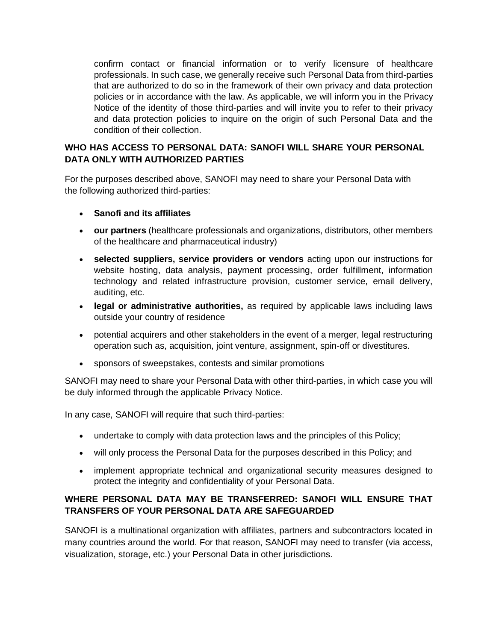confirm contact or financial information or to verify licensure of healthcare professionals. In such case, we generally receive such Personal Data from third-parties that are authorized to do so in the framework of their own privacy and data protection policies or in accordance with the law. As applicable, we will inform you in the Privacy Notice of the identity of those third-parties and will invite you to refer to their privacy and data protection policies to inquire on the origin of such Personal Data and the condition of their collection.

## **WHO HAS ACCESS TO PERSONAL DATA: SANOFI WILL SHARE YOUR PERSONAL DATA ONLY WITH AUTHORIZED PARTIES**

For the purposes described above, SANOFI may need to share your Personal Data with the following authorized third-parties:

- **Sanofi and its affiliates**
- **our partners** (healthcare professionals and organizations, distributors, other members of the healthcare and pharmaceutical industry)
- **selected suppliers, service providers or vendors** acting upon our instructions for website hosting, data analysis, payment processing, order fulfillment, information technology and related infrastructure provision, customer service, email delivery, auditing, etc.
- **legal or administrative authorities,** as required by applicable laws including laws outside your country of residence
- potential acquirers and other stakeholders in the event of a merger, legal restructuring operation such as, acquisition, joint venture, assignment, spin-off or divestitures.
- sponsors of sweepstakes, contests and similar promotions

SANOFI may need to share your Personal Data with other third-parties, in which case you will be duly informed through the applicable Privacy Notice.

In any case, SANOFI will require that such third-parties:

- undertake to comply with data protection laws and the principles of this Policy;
- will only process the Personal Data for the purposes described in this Policy; and
- implement appropriate technical and organizational security measures designed to protect the integrity and confidentiality of your Personal Data.

## **WHERE PERSONAL DATA MAY BE TRANSFERRED: SANOFI WILL ENSURE THAT TRANSFERS OF YOUR PERSONAL DATA ARE SAFEGUARDED**

SANOFI is a multinational organization with affiliates, partners and subcontractors located in many countries around the world. For that reason, SANOFI may need to transfer (via access, visualization, storage, etc.) your Personal Data in other jurisdictions.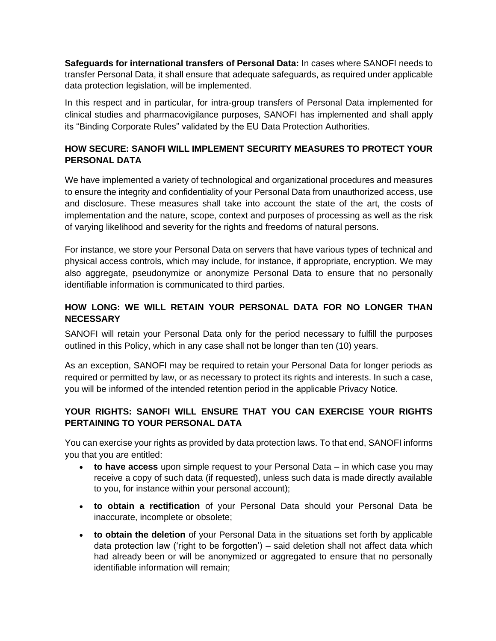**Safeguards for international transfers of Personal Data:** In cases where SANOFI needs to transfer Personal Data, it shall ensure that adequate safeguards, as required under applicable data protection legislation, will be implemented.

In this respect and in particular, for intra-group transfers of Personal Data implemented for clinical studies and pharmacovigilance purposes, SANOFI has implemented and shall apply its ["Binding Corporate Rules"](https://www.sanofi.com/media/Project/One-Sanofi-Web/sanofi-com/common/docs/download-center/Binding_Corporate_Rules_List_of_Sanofi_affiliates_having_signed_the_BCR_Janvier_2017.pdf) validated by the EU Data Protection Authorities.

## **HOW SECURE: SANOFI WILL IMPLEMENT SECURITY MEASURES TO PROTECT YOUR PERSONAL DATA**

We have implemented a variety of technological and organizational procedures and measures to ensure the integrity and confidentiality of your Personal Data from unauthorized access, use and disclosure. These measures shall take into account the state of the art, the costs of implementation and the nature, scope, context and purposes of processing as well as the risk of varying likelihood and severity for the rights and freedoms of natural persons.

For instance, we store your Personal Data on servers that have various types of technical and physical access controls, which may include, for instance, if appropriate, encryption. We may also aggregate, pseudonymize or anonymize Personal Data to ensure that no personally identifiable information is communicated to third parties.

# **HOW LONG: WE WILL RETAIN YOUR PERSONAL DATA FOR NO LONGER THAN NECESSARY**

SANOFI will retain your Personal Data only for the period necessary to fulfill the purposes outlined in this Policy, which in any case shall not be longer than ten (10) years.

As an exception, SANOFI may be required to retain your Personal Data for longer periods as required or permitted by law, or as necessary to protect its rights and interests. In such a case, you will be informed of the intended retention period in the applicable Privacy Notice.

## **YOUR RIGHTS: SANOFI WILL ENSURE THAT YOU CAN EXERCISE YOUR RIGHTS PERTAINING TO YOUR PERSONAL DATA**

You can exercise your rights as provided by data protection laws. To that end, SANOFI informs you that you are entitled:

- **to have access** upon simple request to your Personal Data in which case you may receive a copy of such data (if requested), unless such data is made directly available to you, for instance within your personal account);
- **to obtain a rectification** of your Personal Data should your Personal Data be inaccurate, incomplete or obsolete;
- **to obtain the deletion** of your Personal Data in the situations set forth by applicable data protection law ('right to be forgotten') – said deletion shall not affect data which had already been or will be anonymized or aggregated to ensure that no personally identifiable information will remain;